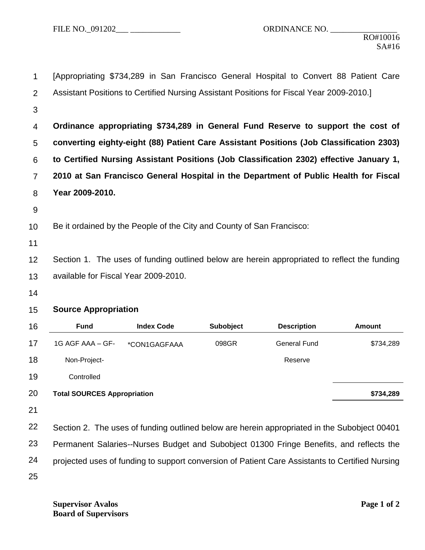| 1        | [Appropriating \$734,289 in San Francisco General Hospital to Convert 88 Patient Care        |                   |                  |                                                                                                 |               |  |  |  |
|----------|----------------------------------------------------------------------------------------------|-------------------|------------------|-------------------------------------------------------------------------------------------------|---------------|--|--|--|
| 2        | Assistant Positions to Certified Nursing Assistant Positions for Fiscal Year 2009-2010.]     |                   |                  |                                                                                                 |               |  |  |  |
| 3        |                                                                                              |                   |                  |                                                                                                 |               |  |  |  |
| 4        |                                                                                              |                   |                  | Ordinance appropriating \$734,289 in General Fund Reserve to support the cost of                |               |  |  |  |
| 5        | converting eighty-eight (88) Patient Care Assistant Positions (Job Classification 2303)      |                   |                  |                                                                                                 |               |  |  |  |
| 6        | to Certified Nursing Assistant Positions (Job Classification 2302) effective January 1,      |                   |                  |                                                                                                 |               |  |  |  |
| 7        | 2010 at San Francisco General Hospital in the Department of Public Health for Fiscal         |                   |                  |                                                                                                 |               |  |  |  |
| 8        | Year 2009-2010.                                                                              |                   |                  |                                                                                                 |               |  |  |  |
| 9        |                                                                                              |                   |                  |                                                                                                 |               |  |  |  |
| 10       | Be it ordained by the People of the City and County of San Francisco:                        |                   |                  |                                                                                                 |               |  |  |  |
| 11       |                                                                                              |                   |                  |                                                                                                 |               |  |  |  |
|          | Section 1. The uses of funding outlined below are herein appropriated to reflect the funding |                   |                  |                                                                                                 |               |  |  |  |
|          |                                                                                              |                   |                  |                                                                                                 |               |  |  |  |
| 12<br>13 | available for Fiscal Year 2009-2010.                                                         |                   |                  |                                                                                                 |               |  |  |  |
| 14       |                                                                                              |                   |                  |                                                                                                 |               |  |  |  |
| 15       | <b>Source Appropriation</b>                                                                  |                   |                  |                                                                                                 |               |  |  |  |
| 16       | <b>Fund</b>                                                                                  | <b>Index Code</b> | <b>Subobject</b> | <b>Description</b>                                                                              | <b>Amount</b> |  |  |  |
| 17       | 1G AGF AAA - GF-                                                                             | *CON1GAGFAAA      | 098GR            | <b>General Fund</b>                                                                             | \$734,289     |  |  |  |
| 18       | Non-Project-                                                                                 |                   |                  | Reserve                                                                                         |               |  |  |  |
| 19       | Controlled                                                                                   |                   |                  |                                                                                                 |               |  |  |  |
| 20       | <b>Total SOURCES Appropriation</b>                                                           |                   |                  |                                                                                                 | \$734,289     |  |  |  |
| 21       |                                                                                              |                   |                  |                                                                                                 |               |  |  |  |
| 22       |                                                                                              |                   |                  | Section 2. The uses of funding outlined below are herein appropriated in the Subobject 00401    |               |  |  |  |
| 23       |                                                                                              |                   |                  | Permanent Salaries--Nurses Budget and Subobject 01300 Fringe Benefits, and reflects the         |               |  |  |  |
| 24       |                                                                                              |                   |                  | projected uses of funding to support conversion of Patient Care Assistants to Certified Nursing |               |  |  |  |
| 25       |                                                                                              |                   |                  |                                                                                                 |               |  |  |  |